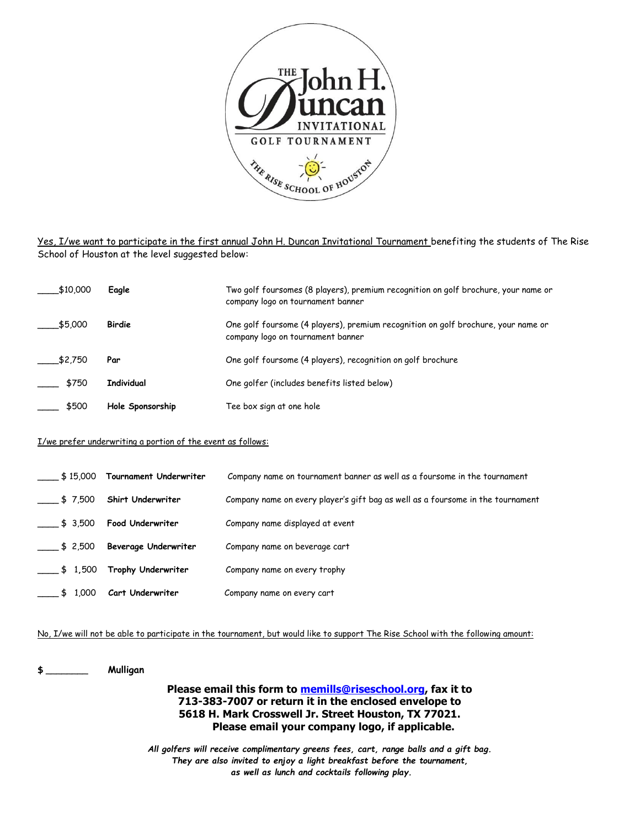

Yes, I/we want to participate in the first annual John H. Duncan Invitational Tournament benefiting the students of The Rise School of Houston at the level suggested below:

| \$10,000 | Eagle             | Two golf foursomes (8 players), premium recognition on golf brochure, your name or<br>company logo on tournament banner |
|----------|-------------------|-------------------------------------------------------------------------------------------------------------------------|
| \$5,000  | Birdie            | One golf foursome (4 players), premium recognition on golf brochure, your name or<br>company logo on tournament banner  |
| \$2,750  | Par               | One golf foursome (4 players), recognition on golf brochure                                                             |
| \$750    | <b>Individual</b> | One golfer (includes benefits listed below)                                                                             |
| \$500    | Hole Sponsorship  | Tee box sign at one hole                                                                                                |

## I/we prefer underwriting a portion of the event as follows:

| \$15,000               | Tournament Underwriter      | Company name on tournament banner as well as a foursome in the tournament       |
|------------------------|-----------------------------|---------------------------------------------------------------------------------|
| \$7,500                | Shirt Underwriter           | Company name on every player's gift bag as well as a foursome in the tournament |
| $\frac{1}{2}$ \$ 3,500 | <b>Food Underwriter</b>     | Company name displayed at event                                                 |
| \$2,500                | <b>Beverage Underwriter</b> | Company name on beverage cart                                                   |
| $\frac{1}{2}$ \$ 1,500 | Trophy Underwriter          | Company name on every trophy                                                    |
| \$1,000                | Cart Underwriter            | Company name on every cart                                                      |

No, I/we will not be able to participate in the tournament, but would like to support The Rise School with the following amount:

**\$** \_\_\_\_\_\_\_\_ **Mulligan**

**Please email this form to [memills@riseschool.org,](mailto:memills@riseschool.org) fax it to 713-383-7007 or return it in the enclosed envelope to 5618 H. Mark Crosswell Jr. Street Houston, TX 77021. Please email your company logo, if applicable.**

*All golfers will receive complimentary greens fees, cart, range balls and a gift bag. They are also invited to enjoy a light breakfast before the tournament, as well as lunch and cocktails following play.*